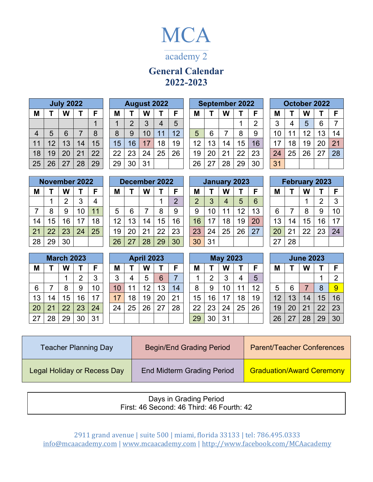# **MCA**

## **\_\_\_\_\_\_\_\_\_\_\_\_\_\_\_\_\_\_\_\_\_\_\_\_\_\_\_\_\_** academy 2

### **General Calendar 2022-2023**

| <b>July 2022</b> |    |    |    |    |
|------------------|----|----|----|----|
| M                |    | W  |    | F  |
|                  |    |    |    |    |
| 4                | 5  | 6  | 7  | 8  |
| 11               | 12 | 13 | 14 | 15 |
| 18               | 19 | 20 | 21 | 22 |
| 25               | 26 | 27 | 28 | 29 |

| <b>August 2022</b> |                |    |    |    |
|--------------------|----------------|----|----|----|
| М                  |                | W  |    | F  |
|                    | $\overline{2}$ | 3  | 4  | 5  |
| 8                  | 9              | 10 | 11 | 12 |
| 15                 | 16             | 17 | 18 | 19 |
| 22                 | 23             | 24 | 25 | 26 |
| 29                 | 30             | 31 |    |    |

| <b>September 2022</b> |    |    |    |  |
|-----------------------|----|----|----|--|
|                       | W  |    | F  |  |
|                       |    |    | 2  |  |
| 6                     | 7  | 8  | 9  |  |
| 13                    | 14 | 15 | 16 |  |
| 20                    | 21 | 22 | 23 |  |
| 27                    | 28 | 29 | 30 |  |
|                       |    |    |    |  |

| October 2022 |    |    |    |    |
|--------------|----|----|----|----|
| М            |    | W  |    | F  |
| 3            | 4  | 5  | 6  |    |
| 10           | 11 | 12 | 13 | 14 |
| 17           | 18 | 19 | 20 | 21 |
| 24           | 25 | 26 | 27 | 28 |
| 31           |    |    |    |    |

| November 2022 |    |                |    |    |  |
|---------------|----|----------------|----|----|--|
| М             |    | W              |    | F  |  |
|               |    | $\overline{2}$ | 3  | 4  |  |
| 7             | 8  | 9              | 10 |    |  |
| 14            | 15 | 16             | 17 | 18 |  |
| 21            | 22 | 23             | 24 | 25 |  |
| 28            | 29 | 30             |    |    |  |

| December 2022 |    |    |    |                |
|---------------|----|----|----|----------------|
|               |    | w  |    | F              |
|               |    |    |    | $\overline{2}$ |
| 5             | 6  | 7  | 8  | 9              |
| 12            | 13 | 14 | 15 | 16             |
| 19            | 20 | 21 | 22 | 23             |
| 26            | 27 | 28 | 29 | 30             |

| <b>January 2023</b> |    |    |    |    |
|---------------------|----|----|----|----|
| м                   |    | W  |    | F  |
| $\overline{2}$      | 3  | 4  | 5  | 6  |
| 9                   | 10 | 11 | 12 | 13 |
| 16                  | 17 | 18 | 19 | 20 |
| 23                  | 24 | 25 | 26 | 27 |
| 30                  | 31 |    |    |    |

| <b>February 2023</b> |    |    |                |    |
|----------------------|----|----|----------------|----|
| м                    | т  | W  | т              | F  |
|                      |    |    | $\overline{2}$ | 3  |
| 6                    | 7  | 8  | 9              | 10 |
| 13                   | 14 | 15 | 16             | 17 |
| 20                   | 21 | 22 | 23             | 24 |
| 27                   | 28 |    |                |    |

| <b>March 2023</b> |    |    |                |    |
|-------------------|----|----|----------------|----|
| м                 | т  | W  |                | F  |
|                   |    |    | $\overline{2}$ | 3  |
| 6                 |    | 8  | 9              | 10 |
| 13                | 14 | 15 | 16             | 17 |
| 20                | 21 | 22 | 23             | 24 |
| 27                | 28 | 29 | 30             | 31 |

| April 2023 |    |    |    |    |
|------------|----|----|----|----|
| М          |    | W  | т  | F  |
| 3          | 4  | 5  | 6  | 7  |
| 10         | 11 | 12 | 13 | 14 |
| 17         | 18 | 19 | 20 | 21 |
| 24         | 25 | 26 | 27 | 28 |
|            |    |    |    |    |

| <b>May 2023</b> |                |    |    |    |
|-----------------|----------------|----|----|----|
| М               | т              | W  | Г  | F  |
| 1               | $\overline{2}$ | 3  | 4  | 5  |
| 8               | 9              | 10 | 11 | 12 |
| 15              | 16             | 17 | 18 | 19 |
| 22              | 23             | 24 | 25 | 26 |
| 29              | 30             | 31 |    |    |

|    | <b>June 2023</b> |    |    |                |  |  |
|----|------------------|----|----|----------------|--|--|
| м  |                  | W  |    | F              |  |  |
|    |                  |    |    | $\overline{2}$ |  |  |
| 5  | 6                |    | 8  | 9              |  |  |
| 12 | 13               | 14 | 15 | 16             |  |  |
| 19 | 20               | 21 | 22 | 23             |  |  |
| 26 | 27               | 28 | 29 | 30             |  |  |

| <b>Teacher Planning Day</b>        | <b>Begin/End Grading Period</b> | <b>Parent/Teacher Conferences</b> |
|------------------------------------|---------------------------------|-----------------------------------|
| <b>Legal Holiday or Recess Day</b> | End Midterm Grading Period      | <b>Graduation/Award Ceremony</b>  |

|--|

2911 grand avenue | suite 500 | miami, florida 33133 | tel: 786.495.0333 info@mcaacademy.com | www.mcaacademy.com | http://www.facebook.com/MCAacademy